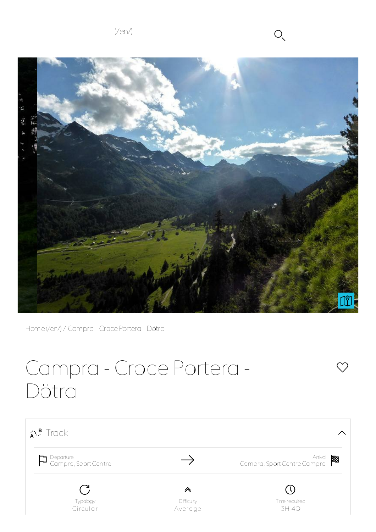$(Ven)$   $O \sim$ 



Home(/en/) / Campra - CrocePortera - Dötra

## Campra - Croce Portera - Dötra



 $\bigcirc$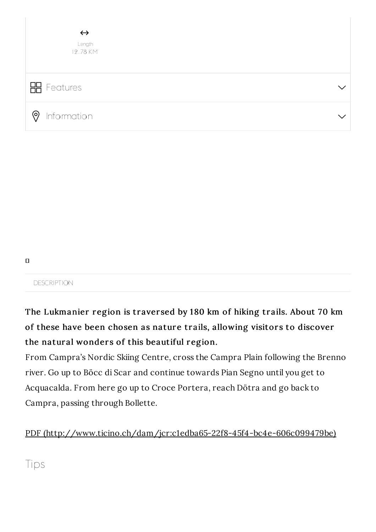| $\leftrightarrow$<br>Length<br>12.78 KM |  |
|-----------------------------------------|--|
| <b>H</b> Features                       |  |
| <b>?</b> Information                    |  |

```
\Box
```
**DESCRIPTION** 

The Lukmanier region is traversed by 180 km of hiking trails. About 70 km of these have been chosen as nature trails, allowing visitors to discover the natural wonders of this beautiful region.

From Campra's Nordic Skiing Centre, cross the Campra Plain following the Brenno river. Go up to Böcc di Scar and continue towards Pian Segno until you get to Acquacalda. From here go up to Croce Portera, reach Dötra and go back to Campra, passing through Bollette.

PDF (http://www.ticino.ch/dam/jcr:c1edba65-22f8-45f4-bc4e-606c099479be)

Tips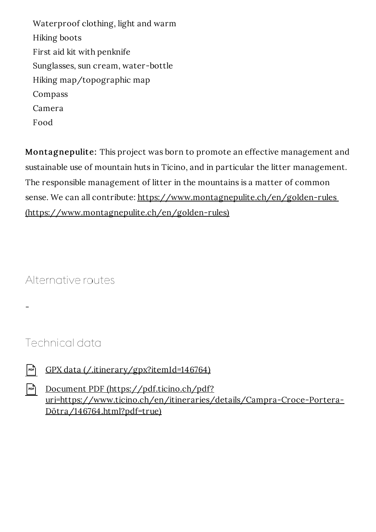Waterproof clothing, light and warm Hiking boots First aid kit with penknife Sunglasses, sun cream, water-bottle Hiking map/topographic map Compass Camera Food

Montagnepulite: This project was born to promote an effective management and sustainable use of mountain huts in Ticino, and in particular the litter management. The responsible management of litter in the mountains is a matter of common sense. We can all contribute: https://www.montagnepulite.ch/en/golden-rules (https://www.montagnepulite.ch/en/golden-rules)

Alternative routes

Technical data

-

 $\begin{bmatrix} \frac{1}{|p|} & \frac{1}{|p|} \\ \frac{1}{|p|} & \frac{1}{|p|} \end{bmatrix}$  (*CPX data (/.itinerary/gpx?itemId=146764)* 

Document PDF (https://pdf.ticino.ch/pdf? uri=https://www.ticino.ch/en/itineraries/details/Campra-Croce-Portera-Dötra/146764.html?pdf=true)  $|PPF|$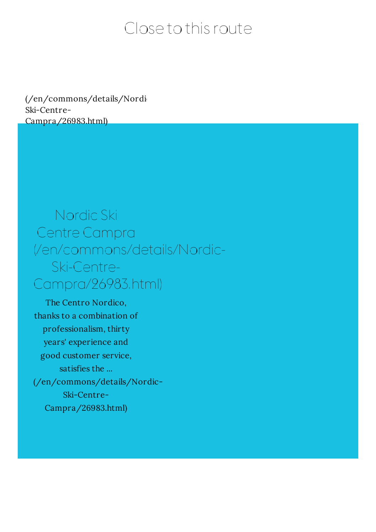## Close to this route

(/en/commons/details/Nordi Ski-Centre-Campra/26983.html)

## Nordic Ski Centre Campra (/en/commons/details/Nordic-Ski-Centre-Campra/26983.html)

The Centro Nordico, thanks to a combination of professionalism, thirty years' experience and good customer service, satisfies the ... (/en/commons/details/Nordic-Ski-Centre-Campra/26983.html)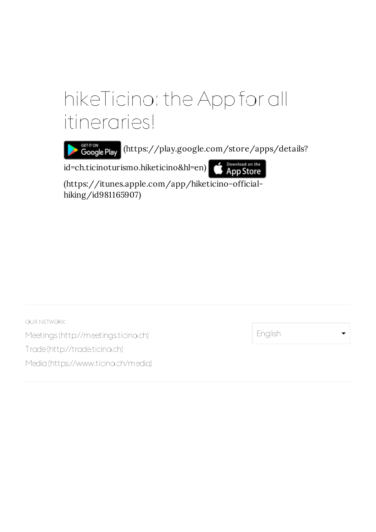## hikeTicino: the App for all itineraries!

GETITON (https://play.google.com/store/apps/details?

id=ch.ticinoturismo.hiketicino&hl=en)

Download on the<br>App Store

(https://itunes.apple.com/app/hiketicino-officialhiking/id981165907)

OUR NETWORK Meetings (http://meetings.ticino.ch) Trade(http://trade.ticino.ch) Media(https://www.ticino.ch/media)

English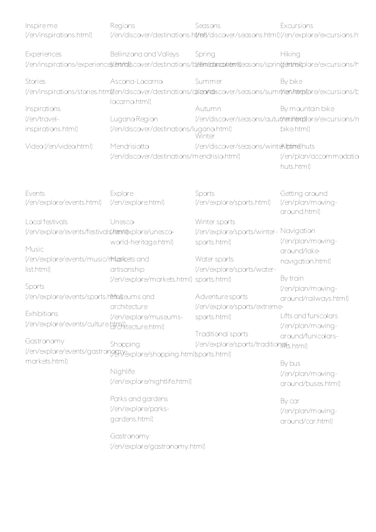| Inspire me<br>(/en/inspirations.html)               | Regions                                                                                                                 | Seasons<br>(/en/discover/destinations.ht/reit)/discover/seasons.html)(/en/explore/excursions.ht | Excursions                           |
|-----------------------------------------------------|-------------------------------------------------------------------------------------------------------------------------|-------------------------------------------------------------------------------------------------|--------------------------------------|
| Experiences                                         | Bellinzona and Valleys                                                                                                  | Spring                                                                                          | Hiking                               |
|                                                     | (/en/inspirations/experience(x/entrial)scover/destinations/b(edim/zdistraphem/s)easons/sprin(dentrex)plore/excursions/h |                                                                                                 |                                      |
| Stories                                             | Ascona-Locarno                                                                                                          | Summer                                                                                          | By bike                              |
|                                                     | (/en/inspirations/stories.html)/en/discover/destinations/dsen/rdiscover/seasons/sumr/nen/retxpl)pre/excursions/b        |                                                                                                 |                                      |
|                                                     | locarno.html)                                                                                                           |                                                                                                 |                                      |
| Inspirations                                        |                                                                                                                         | Autumn                                                                                          | By mountain bike                     |
| (/en/travel-                                        | Lugano Region                                                                                                           | (/en/discover/seasons/auturt/rem/hemplore/excursions/n                                          |                                      |
| inspirations.html)                                  | (/en/discover/destinations/lugano.html)                                                                                 | Winter                                                                                          | bike.html)                           |
| Video (/en/video.html)                              | Mendrisiotto                                                                                                            | (/en/discover/seasons/winteAlptime)huts                                                         |                                      |
|                                                     | (/en/discover/destinations/mendrisio.html)                                                                              |                                                                                                 | (/en/plan/accommodatio<br>huts.html) |
| Events                                              | Explore                                                                                                                 | Sports                                                                                          | Getting around                       |
| (/en/explore/events.html)                           | (/en/explore.html)                                                                                                      | (/en/explore/sports.html)                                                                       | (/en/plan/moving-<br>around.html)    |
| Local festivals                                     | Unesco                                                                                                                  | Winter sports                                                                                   |                                      |
| (/en/explore/events/festivals/tatm/dexplore/unesco- |                                                                                                                         | (/en/explore/sports/winter-                                                                     | Navigation                           |
|                                                     | world-heritage.html)                                                                                                    | sports.html)                                                                                    | (/en/plan/moving-                    |
| Music                                               |                                                                                                                         |                                                                                                 | around/lake-                         |
| (/en/explore/events/music/rMaxikets and             |                                                                                                                         | Water sports                                                                                    | navigation.html)                     |
| list.html)                                          | artisanship                                                                                                             | (/en/explore/sports/water-                                                                      |                                      |
|                                                     | (/en/explore/markets.html) sports.html)                                                                                 |                                                                                                 | By train                             |
| Sports                                              |                                                                                                                         |                                                                                                 | (/en/plan/moving-                    |
| (/en/explore/events/sports.htmakeums and            | architecture                                                                                                            | Adventure sports                                                                                | around/railways.html)                |
| Exhibitions<br>(/en/explore/events/culture.html)    | (/en/explore/museums-                                                                                                   | (/en/explore/sports/extreme-                                                                    | Lifts and funicolars                 |
|                                                     |                                                                                                                         | sports.html)                                                                                    | (/en/plan/moving-                    |
|                                                     |                                                                                                                         | Traditional sports                                                                              | around/funicolars-                   |
| Gastronomy                                          | Shopping                                                                                                                | (/en/explore/sports/tradition@ts.html)                                                          |                                      |
| markets.html)                                       | (/en/explore/events/gastron998)/explore/shopping.html)sports.html)                                                      |                                                                                                 | By bus                               |
|                                                     | Nighlife                                                                                                                |                                                                                                 | (/en/plan/moving-                    |
|                                                     | (/en/explore/nightlife.html)                                                                                            |                                                                                                 | around/buses.html)                   |
|                                                     |                                                                                                                         |                                                                                                 |                                      |
|                                                     | Parks and gardens                                                                                                       |                                                                                                 | By car                               |
|                                                     | (/en/explore/parks-                                                                                                     |                                                                                                 | (/en/plan/moving-                    |
|                                                     | gardens.html)                                                                                                           |                                                                                                 | around/car.html)                     |
|                                                     | Gastronomy                                                                                                              |                                                                                                 |                                      |
|                                                     | (/en/explore/gastronomy.html)                                                                                           |                                                                                                 |                                      |